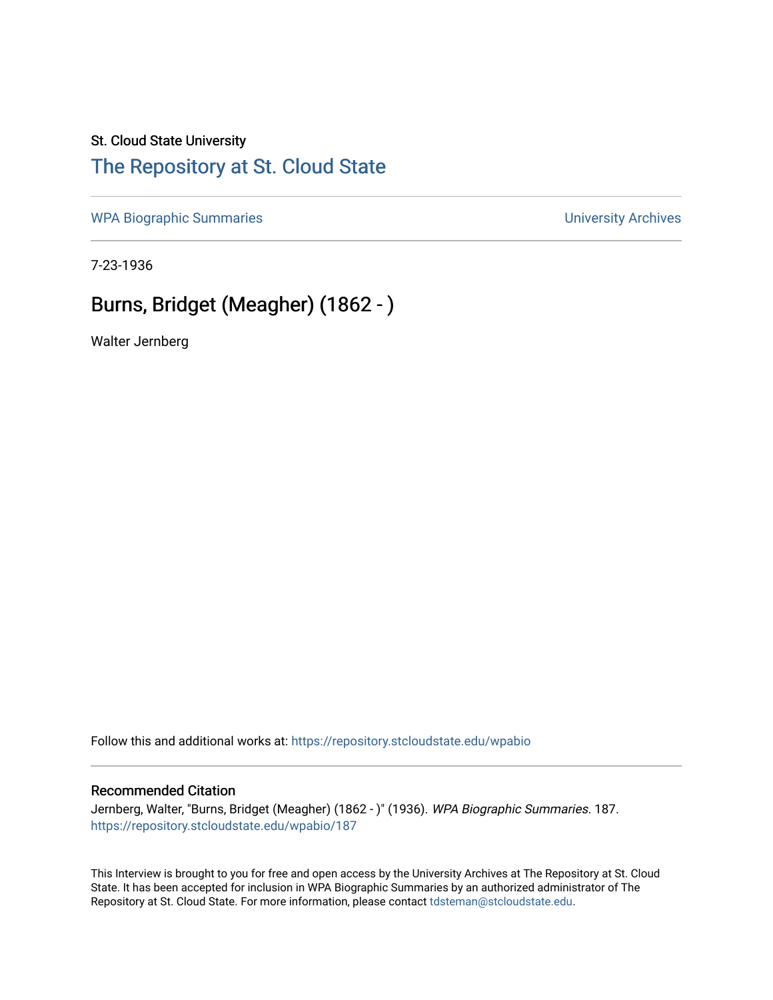### St. Cloud State University

## [The Repository at St. Cloud State](https://repository.stcloudstate.edu/)

[WPA Biographic Summaries](https://repository.stcloudstate.edu/wpabio) **WPA Biographic Summaries University Archives** 

7-23-1936

## Burns, Bridget (Meagher) (1862 - )

Walter Jernberg

Follow this and additional works at: [https://repository.stcloudstate.edu/wpabio](https://repository.stcloudstate.edu/wpabio?utm_source=repository.stcloudstate.edu%2Fwpabio%2F187&utm_medium=PDF&utm_campaign=PDFCoverPages) 

#### Recommended Citation

Jernberg, Walter, "Burns, Bridget (Meagher) (1862 - )" (1936). WPA Biographic Summaries. 187. [https://repository.stcloudstate.edu/wpabio/187](https://repository.stcloudstate.edu/wpabio/187?utm_source=repository.stcloudstate.edu%2Fwpabio%2F187&utm_medium=PDF&utm_campaign=PDFCoverPages) 

This Interview is brought to you for free and open access by the University Archives at The Repository at St. Cloud State. It has been accepted for inclusion in WPA Biographic Summaries by an authorized administrator of The Repository at St. Cloud State. For more information, please contact [tdsteman@stcloudstate.edu.](mailto:tdsteman@stcloudstate.edu)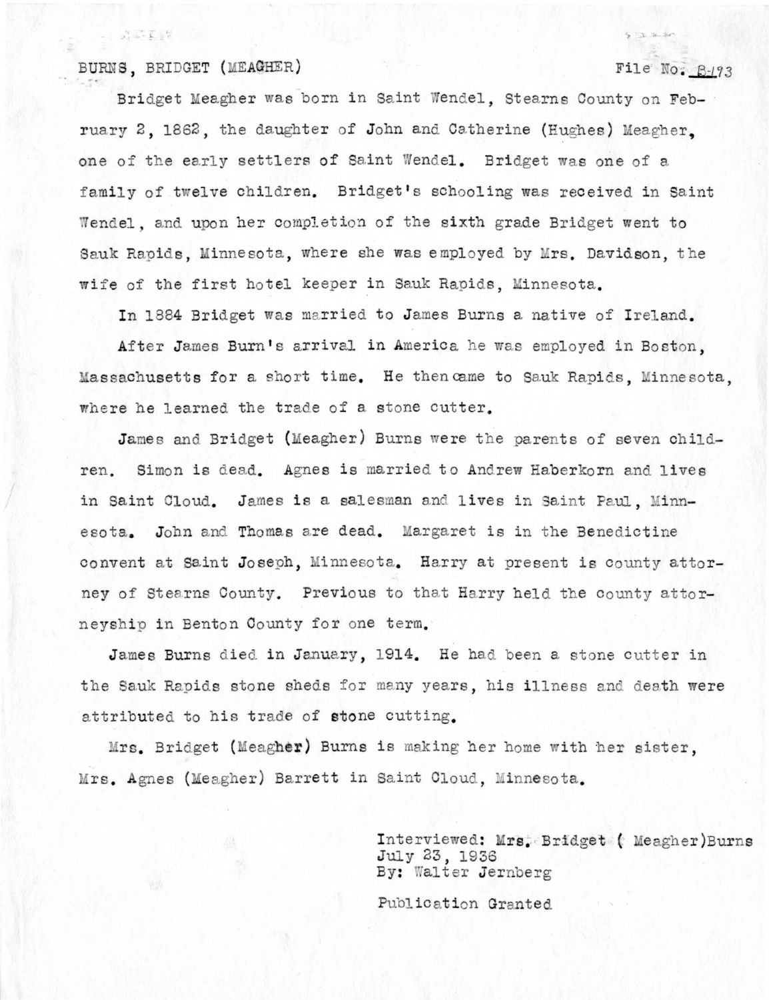#### BURNS, BRIDGET (MEACHER)

 $\omega = \frac{1}{2\sqrt{2}}\frac{\partial \mathcal{L}}{\partial \mathcal{L}} + \frac{1}{2}\frac{\partial \mathcal{L}}{\partial \mathcal{L}}$ 

#### File No. B-193

 $5 - 14 - 50$ 

Bridget Meagher was born in Saint Wendel, Stearns County on February 2. 1862, the daughter of John and Catherine (Hughes) Meagher. one of the early settlers of Saint Wendel. Bridget was one of a family of twelve children. Bridget's schooling was received in Saint Wendel, and upon her completion of the sixth grade Bridget went to Sauk Rapids, Minnesota, where she was employed by Mrs. Davidson, the wife of the first hotel keeper in Sauk Rapids, Minnesota.

In 1884 Bridget was married to James Burns a native of Ireland.

After James Burn's arrival in America he was employed in Boston. Massachusetts for a short time. He then came to Sauk Rapids, Minnesota, where he learned the trade of a stone cutter.

James and Bridget (Meagher) Burns were the parents of seven children. Simon is dead. Agnes is married to Andrew Haberkorn and lives in Saint Cloud. James is a salesman and lives in Saint Paul, Minnesota. John and Thomas are dead. Margaret is in the Benedictine convent at Saint Joseph, Minnesota. Harry at present is county attorney of Stearns County. Previous to that Harry held the county attorneyship in Benton County for one term.

James Burns died in January, 1914. He had been a stone cutter in the Sauk Rapids stone sheds for many years, his illness and death were attributed to his trade of stone cutting.

Mrs. Bridget (Meagher) Burns is making her home with her sister, Mrs. Agnes (Meagher) Barrett in Saint Cloud, Minnesota.

> Interviewed: Mrs. Bridget (Meagher)Burns July 23, 1936 By: Walter Jernberg

Publication Granted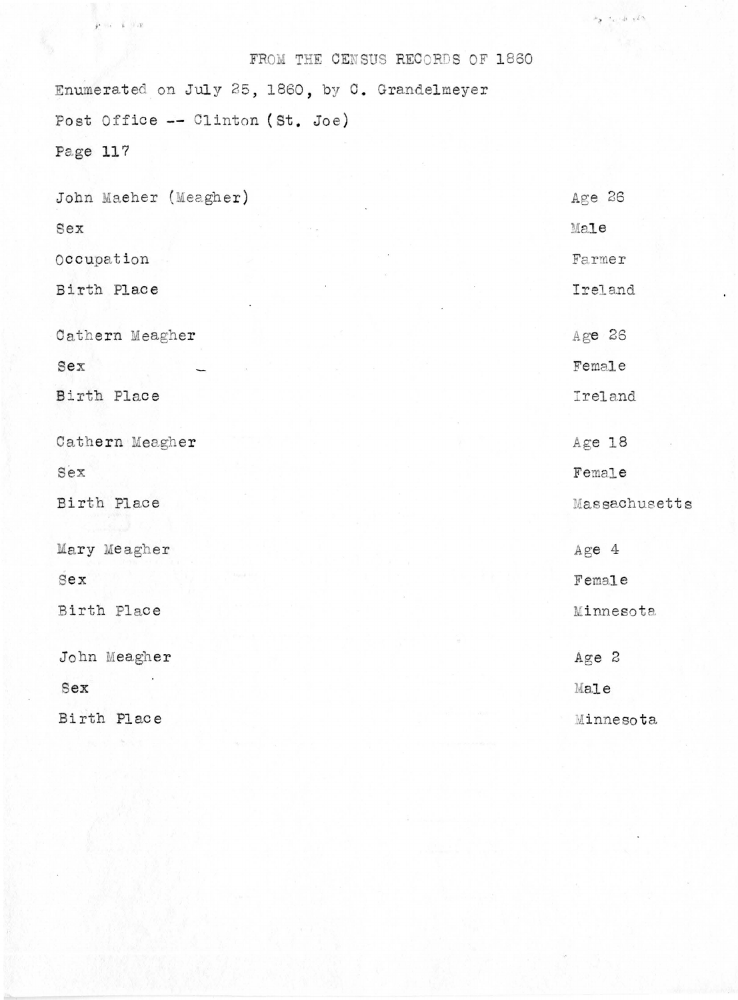### FROM THE CENSUS RECORDS OF 1860

 $\label{eq:2} \mathcal{P}_{\mathbf{X}} = \mathcal{P}_{\mathbf{X}} + \mathcal{P}_{\mathbf{X}} + \mathcal{P}_{\mathbf{X}} + \mathcal{P}_{\mathbf{X}}$ 

Enumerated on July 25, 1860, by C. Grandelmeyer Post Office -- Clinton (St. Joe)

Page 117

 $r = i \pm \pi$ 

| John Maeher (Meagher) | Age 26        |
|-----------------------|---------------|
| Sex                   | Male          |
| Occupation            | Farmer        |
| Birth Place           | Ireland       |
| Cathern Meagher       | Age 26        |
| Sex                   | Female        |
| Birth Place           | Ireland       |
| Cathern Meagher       | Age 18        |
| Sex                   | Female        |
| Birth Place           | Massachusetts |
| Mary Meagher          | Age 4         |
| sex                   | Female        |
| Birth Place           | Minnesota     |
| John Meagher          | Age 2         |
| Sex                   | Male          |
| Birth Place           | Minnesota     |
|                       |               |